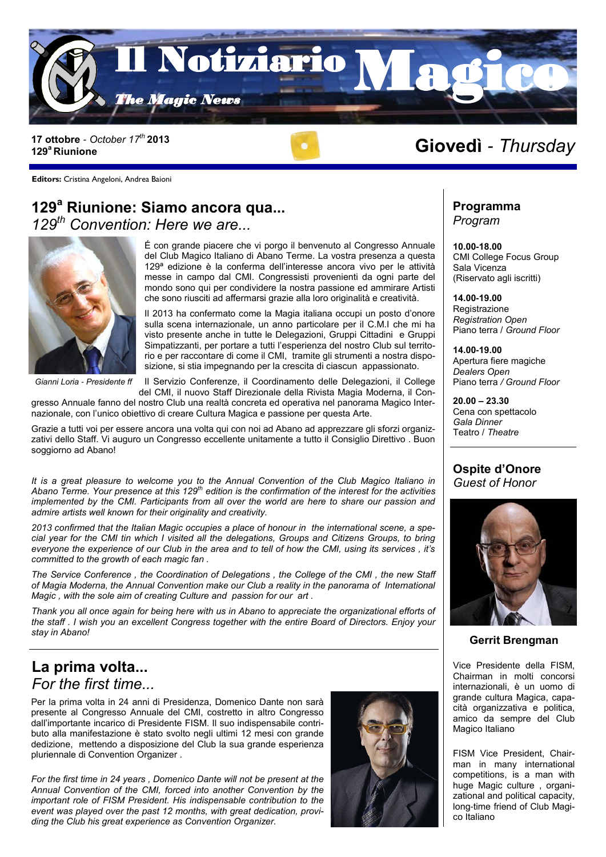

**129<sup>a</sup>Riunione**



#### **Editors:** Cristina Angeloni, Andrea Baioni

### **129<sup>a</sup> Riunione: Siamo ancora qua...** *129th Convention: Here we are...*



É con grande piacere che vi porgo il benvenuto al Congresso Annuale del Club Magico Italiano di Abano Terme. La vostra presenza a questa 129ª edizione è la conferma dell'interesse ancora vivo per le attività messe in campo dal CMI. Congressisti provenienti da ogni parte del mondo sono qui per condividere la nostra passione ed ammirare Artisti che sono riusciti ad affermarsi grazie alla loro originalità e creatività.

Il 2013 ha confermato come la Magia italiana occupi un posto d'onore sulla scena internazionale, un anno particolare per il C.M.I che mi ha visto presente anche in tutte le Delegazioni, Gruppi Cittadini e Gruppi Simpatizzanti, per portare a tutti l'esperienza del nostro Club sul territorio e per raccontare di come il CMI, tramite gli strumenti a nostra disposizione, si stia impegnando per la crescita di ciascun appassionato.

*Gianni Loria - Presidente ff*

Il Servizio Conferenze, il Coordinamento delle Delegazioni, il College

del CMI, il nuovo Staff Direzionale della Rivista Magia Moderna, il Congresso Annuale fanno del nostro Club una realtà concreta ed operativa nel panorama Magico Internazionale, con l'unico obiettivo di creare Cultura Magica e passione per questa Arte.

Grazie a tutti voi per essere ancora una volta qui con noi ad Abano ad apprezzare gli sforzi organizzativi dello Staff. Vi auguro un Congresso eccellente unitamente a tutto il Consiglio Direttivo . Buon soggiorno ad Abano!

*It is a great pleasure to welcome you to the Annual Convention of the Club Magico Italiano in Abano Terme. Your presence at this 129th edition is the confirmation of the interest for the activities implemented by the CMI. Participants from all over the world are here to share our passion and admire artists well known for their originality and creativity.*

*2013 confirmed that the Italian Magic occupies a place of honour in the international scene, a special year for the CMI tin which I visited all the delegations, Groups and Citizens Groups, to bring everyone the experience of our Club in the area and to tell of how the CMI, using its services , it's committed to the growth of each magic fan .*

*The Service Conference , the Coordination of Delegations , the College of the CMI , the new Staff of Magia Moderna, the Annual Convention make our Club a reality in the panorama of International Magic , with the sole aim of creating Culture and passion for our art .*

*Thank you all once again for being here with us in Abano to appreciate the organizational efforts of the staff . I wish you an excellent Congress together with the entire Board of Directors. Enjoy your stay in Abano!*

### **La prima volta...** *For the first time...*

Per la prima volta in 24 anni di Presidenza, Domenico Dante non sarà presente al Congresso Annuale del CMI, costretto in altro Congresso dall'importante incarico di Presidente FISM. Il suo indispensabile contributo alla manifestazione è stato svolto negli ultimi 12 mesi con grande dedizione, mettendo a disposizione del Club la sua grande esperienza pluriennale di Convention Organizer .

*For the first time in 24 years , Domenico Dante will not be present at the Annual Convention of the CMI, forced into another Convention by the important role of FISM President. His indispensable contribution to the event was played over the past 12 months, with great dedication, providing the Club his great experience as Convention Organizer.*



# 17 ottobre - October 17<sup>th</sup> 2013<br>129<sup>ª</sup> Riunione

**Programma** *Program*

**10.00-18.00** CMI College Focus Group Sala Vicenza (Riservato agli iscritti)

**14.00-19.00 Registrazione** *Registration Open* Piano terra / *Ground Floor*

**14.00-19.00** Apertura fiere magiche *Dealers Open* Piano terra */ Ground Floor*

**20.00 – 23.30** Cena con spettacolo *Gala Dinner* Teatro / *Theatre*

#### **Ospite d'Onore** *Guest of Honor*



#### **Gerrit Brengman**

Vice Presidente della FISM, Chairman in molti concorsi internazionali, è un uomo di grande cultura Magica, capacità organizzativa e politica, amico da sempre del Club Magico Italiano

FISM Vice President, Chairman in many international competitions, is a man with huge Magic culture , organizational and political capacity, long-time friend of Club Magico Italiano